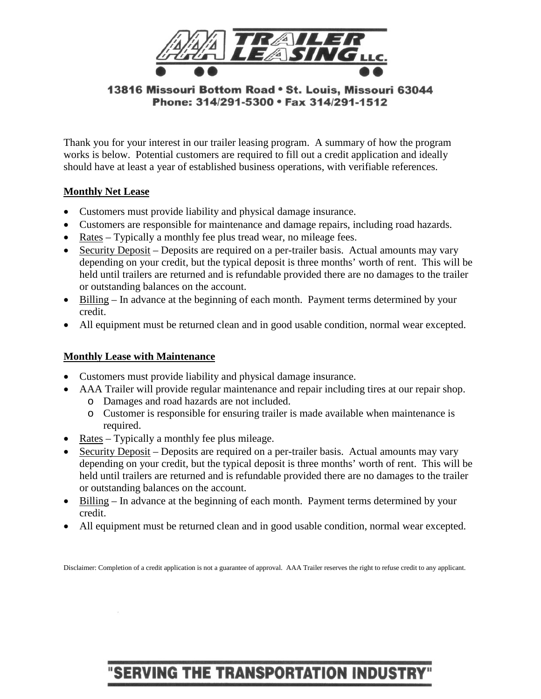

13816 Missouri Bottom Road • St. Louis, Missouri 63044 Phone: 314/291-5300 • Fax 314/291-1512

Thank you for your interest in our trailer leasing program. A summary of how the program works is below. Potential customers are required to fill out a credit application and ideally should have at least a year of established business operations, with verifiable references.

#### **Monthly Net Lease**

- Customers must provide liability and physical damage insurance.
- Customers are responsible for maintenance and damage repairs, including road hazards.
- Rates Typically a monthly fee plus tread wear, no mileage fees.
- Security Deposit Deposits are required on a per-trailer basis. Actual amounts may vary depending on your credit, but the typical deposit is three months' worth of rent. This will be held until trailers are returned and is refundable provided there are no damages to the trailer or outstanding balances on the account.
- Billing In advance at the beginning of each month. Payment terms determined by your credit.
- All equipment must be returned clean and in good usable condition, normal wear excepted.

## **Monthly Lease with Maintenance**

- Customers must provide liability and physical damage insurance.
- AAA Trailer will provide regular maintenance and repair including tires at our repair shop. o Damages and road hazards are not included.
	- o Customer is responsible for ensuring trailer is made available when maintenance is required.
- Rates Typically a monthly fee plus mileage.
- Security Deposit Deposits are required on a per-trailer basis. Actual amounts may vary depending on your credit, but the typical deposit is three months' worth of rent. This will be held until trailers are returned and is refundable provided there are no damages to the trailer or outstanding balances on the account.
- Billing In advance at the beginning of each month. Payment terms determined by your credit.
- All equipment must be returned clean and in good usable condition, normal wear excepted.

Disclaimer: Completion of a credit application is not a guarantee of approval. AAA Trailer reserves the right to refuse credit to any applicant.

# **SERVING THE TRANSPORTATION INDUSTR**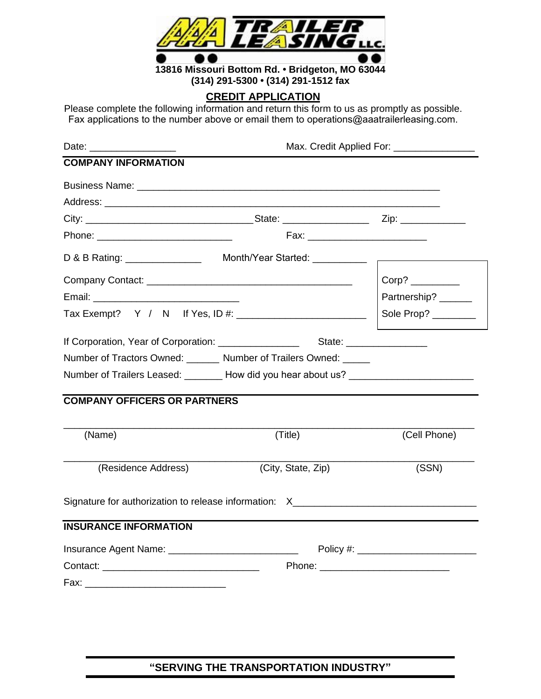

#### **CREDIT APPLICATION**

Please complete the following information and return this form to us as promptly as possible. Fax applications to the number above or email them to operations@aaatrailerleasing.com.

| Date: ___________________                |                                                                                                                                                                                                                                | Max. Credit Applied For: __________________ |
|------------------------------------------|--------------------------------------------------------------------------------------------------------------------------------------------------------------------------------------------------------------------------------|---------------------------------------------|
| <b>COMPANY INFORMATION</b>               |                                                                                                                                                                                                                                |                                             |
|                                          |                                                                                                                                                                                                                                |                                             |
|                                          |                                                                                                                                                                                                                                |                                             |
|                                          |                                                                                                                                                                                                                                |                                             |
| Phone: _________________________________ |                                                                                                                                                                                                                                |                                             |
|                                          |                                                                                                                                                                                                                                |                                             |
|                                          |                                                                                                                                                                                                                                |                                             |
|                                          |                                                                                                                                                                                                                                | Partnership? ______                         |
|                                          | Tax Exempt? Y / N If Yes, ID #: \\cdot \\cdot \\cdot \\cdot \\cdot \\cdot \\cdot \\cdot \\cdot \\cdot \\cdot \\cdot \\cdot \\cdot \\cdot \\cdot \\cdot \\cdot \\cdot \\cdot \\cdot \\cdot \\cdot \\cdot \\cdot \\cdot \\cdot \ | Sole Prop? _______                          |
|                                          |                                                                                                                                                                                                                                |                                             |
|                                          | Number of Tractors Owned: _______ Number of Trailers Owned: _____                                                                                                                                                              |                                             |
|                                          | Number of Trailers Leased: _______ How did you hear about us? __________________                                                                                                                                               |                                             |
| <b>COMPANY OFFICERS OR PARTNERS</b>      |                                                                                                                                                                                                                                |                                             |
| (Name)                                   | (Title)                                                                                                                                                                                                                        | (Cell Phone)                                |
| (Residence Address)                      | (City, State, Zip)                                                                                                                                                                                                             | (SSN)                                       |
|                                          | Signature for authorization to release information: X___________________________                                                                                                                                               |                                             |
| <b>INSURANCE INFORMATION</b>             |                                                                                                                                                                                                                                |                                             |
|                                          |                                                                                                                                                                                                                                |                                             |
|                                          |                                                                                                                                                                                                                                |                                             |
|                                          |                                                                                                                                                                                                                                |                                             |
|                                          |                                                                                                                                                                                                                                |                                             |

# **"SERVING THE TRANSPORTATION INDUSTRY"**